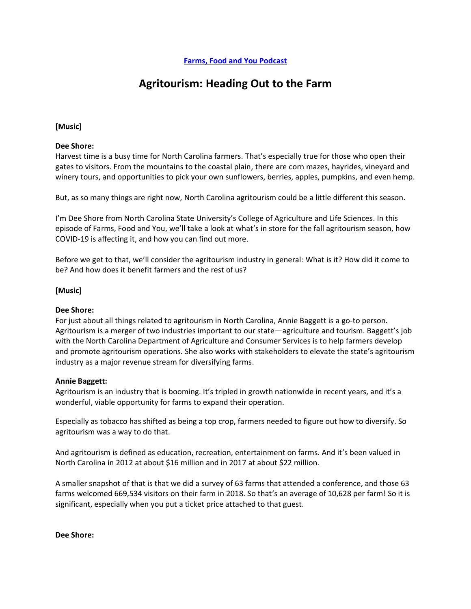# **Agritourism: Heading Out to the Farm**

# **[Music]**

## **Dee Shore:**

Harvest time is a busy time for North Carolina farmers. That's especially true for those who open their gates to visitors. From the mountains to the coastal plain, there are corn mazes, hayrides, vineyard and winery tours, and opportunities to pick your own sunflowers, berries, apples, pumpkins, and even hemp.

But, as so many things are right now, North Carolina agritourism could be a little different this season.

I'm Dee Shore from North Carolina State University's College of Agriculture and Life Sciences. In this episode of Farms, Food and You, we'll take a look at what's in store for the fall agritourism season, how COVID-19 is affecting it, and how you can find out more.

Before we get to that, we'll consider the agritourism industry in general: What is it? How did it come to be? And how does it benefit farmers and the rest of us?

## **[Music]**

#### **Dee Shore:**

For just about all things related to agritourism in North Carolina, Annie Baggett is a go-to person. Agritourism is a merger of two industries important to our state—agriculture and tourism. Baggett's job with the North Carolina Department of Agriculture and Consumer Services is to help farmers develop and promote agritourism operations. She also works with stakeholders to elevate the state's agritourism industry as a major revenue stream for diversifying farms.

#### **Annie Baggett:**

Agritourism is an industry that is booming. It's tripled in growth nationwide in recent years, and it's a wonderful, viable opportunity for farms to expand their operation.

Especially as tobacco has shifted as being a top crop, farmers needed to figure out how to diversify. So agritourism was a way to do that.

And agritourism is defined as education, recreation, entertainment on farms. And it's been valued in North Carolina in 2012 at about \$16 million and in 2017 at about \$22 million.

A smaller snapshot of that is that we did a survey of 63 farms that attended a conference, and those 63 farms welcomed 669,534 visitors on their farm in 2018. So that's an average of 10,628 per farm! So it is significant, especially when you put a ticket price attached to that guest.

**Dee Shore:**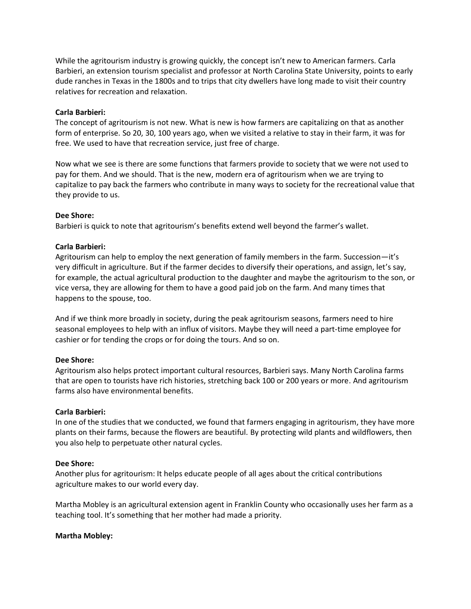While the agritourism industry is growing quickly, the concept isn't new to American farmers. Carla Barbieri, an extension tourism specialist and professor at North Carolina State University, points to early dude ranches in Texas in the 1800s and to trips that city dwellers have long made to visit their country relatives for recreation and relaxation.

## **Carla Barbieri:**

The concept of agritourism is not new. What is new is how farmers are capitalizing on that as another form of enterprise. So 20, 30, 100 years ago, when we visited a relative to stay in their farm, it was for free. We used to have that recreation service, just free of charge.

Now what we see is there are some functions that farmers provide to society that we were not used to pay for them. And we should. That is the new, modern era of agritourism when we are trying to capitalize to pay back the farmers who contribute in many ways to society for the recreational value that they provide to us.

## **Dee Shore:**

Barbieri is quick to note that agritourism's benefits extend well beyond the farmer's wallet.

## **Carla Barbieri:**

Agritourism can help to employ the next generation of family members in the farm. Succession—it's very difficult in agriculture. But if the farmer decides to diversify their operations, and assign, let's say, for example, the actual agricultural production to the daughter and maybe the agritourism to the son, or vice versa, they are allowing for them to have a good paid job on the farm. And many times that happens to the spouse, too.

And if we think more broadly in society, during the peak agritourism seasons, farmers need to hire seasonal employees to help with an influx of visitors. Maybe they will need a part-time employee for cashier or for tending the crops or for doing the tours. And so on.

#### **Dee Shore:**

Agritourism also helps protect important cultural resources, Barbieri says. Many North Carolina farms that are open to tourists have rich histories, stretching back 100 or 200 years or more. And agritourism farms also have environmental benefits.

#### **Carla Barbieri:**

In one of the studies that we conducted, we found that farmers engaging in agritourism, they have more plants on their farms, because the flowers are beautiful. By protecting wild plants and wildflowers, then you also help to perpetuate other natural cycles.

#### **Dee Shore:**

Another plus for agritourism: It helps educate people of all ages about the critical contributions agriculture makes to our world every day.

Martha Mobley is an agricultural extension agent in Franklin County who occasionally uses her farm as a teaching tool. It's something that her mother had made a priority.

#### **Martha Mobley:**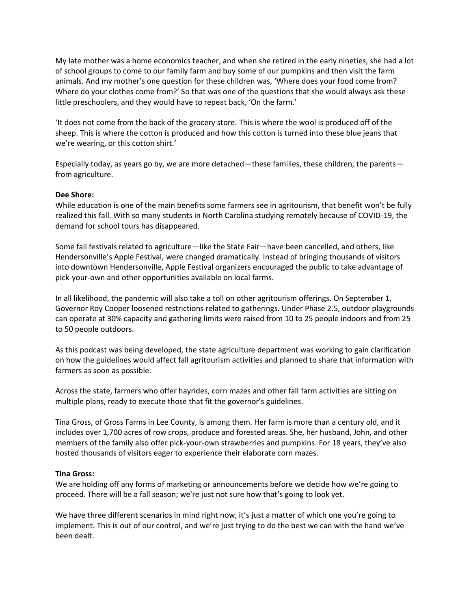My late mother was a home economics teacher, and when she retired in the early nineties, she had a lot of school groups to come to our family farm and buy some of our pumpkins and then visit the farm animals. And my mother's one question for these children was, 'Where does your food come from? Where do your clothes come from?' So that was one of the questions that she would always ask these little preschoolers, and they would have to repeat back, 'On the farm.'

'It does not come from the back of the grocery store. This is where the wool is produced off of the sheep. This is where the cotton is produced and how this cotton is turned into these blue jeans that we're wearing, or this cotton shirt.'

Especially today, as years go by, we are more detached—these families, these children, the parents from agriculture.

## **Dee Shore:**

While education is one of the main benefits some farmers see in agritourism, that benefit won't be fully realized this fall. With so many students in North Carolina studying remotely because of COVID-19, the demand for school tours has disappeared.

Some fall festivals related to agriculture—like the State Fair—have been cancelled, and others, like Hendersonville's Apple Festival, were changed dramatically. Instead of bringing thousands of visitors into downtown Hendersonville, Apple Festival organizers encouraged the public to take advantage of pick-your-own and other opportunities available on local farms.

In all likelihood, the pandemic will also take a toll on other agritourism offerings. On September 1, Governor Roy Cooper loosened restrictions related to gatherings. Under Phase 2.5, outdoor playgrounds can operate at 30% capacity and gathering limits were raised from 10 to 25 people indoors and from 25 to 50 people outdoors.

As this podcast was being developed, the state agriculture department was working to gain clarification on how the guidelines would affect fall agritourism activities and planned to share that information with farmers as soon as possible.

Across the state, farmers who offer hayrides, corn mazes and other fall farm activities are sitting on multiple plans, ready to execute those that fit the governor's guidelines.

Tina Gross, of Gross Farms in Lee County, is among them. Her farm is more than a century old, and it includes over 1,700 acres of row crops, produce and forested areas. She, her husband, John, and other members of the family also offer pick-your-own strawberries and pumpkins. For 18 years, they've also hosted thousands of visitors eager to experience their elaborate corn mazes.

#### **Tina Gross:**

We are holding off any forms of marketing or announcements before we decide how we're going to proceed. There will be a fall season; we're just not sure how that's going to look yet.

We have three different scenarios in mind right now, it's just a matter of which one you're going to implement. This is out of our control, and we're just trying to do the best we can with the hand we've been dealt.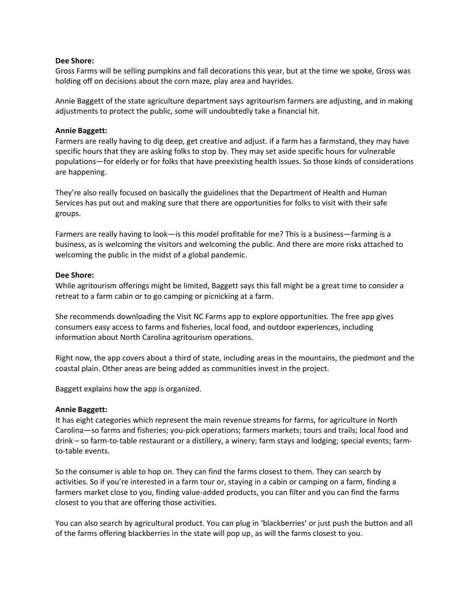#### **Dee Shore:**

Gross Farms will be selling pumpkins and fall decorations this year, but at the time we spoke, Gross was holding off on decisions about the corn maze, play area and hayrides.

Annie Baggett of the state agriculture department says agritourism farmers are adjusting, and in making adjustments to protect the public, some will undoubtedly take a financial hit.

#### **Annie Baggett:**

Farmers are really having to dig deep, get creative and adjust. if a farm has a farmstand, they may have specific hours that they are asking folks to stop by. They may set aside specific hours for vulnerable populations—for elderly or for folks that have preexisting health issues. So those kinds of considerations are happening.

They're also really focused on basically the guidelines that the Department of Health and Human Services has put out and making sure that there are opportunities for folks to visit with their safe groups.

Farmers are really having to look—is this model profitable for me? This is a business—farming is a business, as is welcoming the visitors and welcoming the public. And there are more risks attached to welcoming the public in the midst of a global pandemic.

## **Dee Shore:**

While agritourism offerings might be limited, Baggett says this fall might be a great time to consider a retreat to a farm cabin or to go camping or picnicking at a farm.

She recommends downloading the Visit NC Farms app to explore opportunities. The free app gives consumers easy access to farms and fisheries, local food, and outdoor experiences, including information about North Carolina agritourism operations.

Right now, the app covers about a third of state, including areas in the mountains, the piedmont and the coastal plain. Other areas are being added as communities invest in the project.

Baggett explains how the app is organized.

#### **Annie Baggett:**

It has eight categories which represent the main revenue streams for farms, for agriculture in North Carolina—so farms and fisheries; you-pick operations; farmers markets; tours and trails; local food and drink – so farm-to-table restaurant or a distillery, a winery; farm stays and lodging; special events; farmto-table events.

So the consumer is able to hop on. They can find the farms closest to them. They can search by activities. So if you're interested in a farm tour or, staying in a cabin or camping on a farm, finding a farmers market close to you, finding value-added products, you can filter and you can find the farms closest to you that are offering those activities.

You can also search by agricultural product. You can plug in 'blackberries' or just push the button and all of the farms offering blackberries in the state will pop up, as will the farms closest to you.